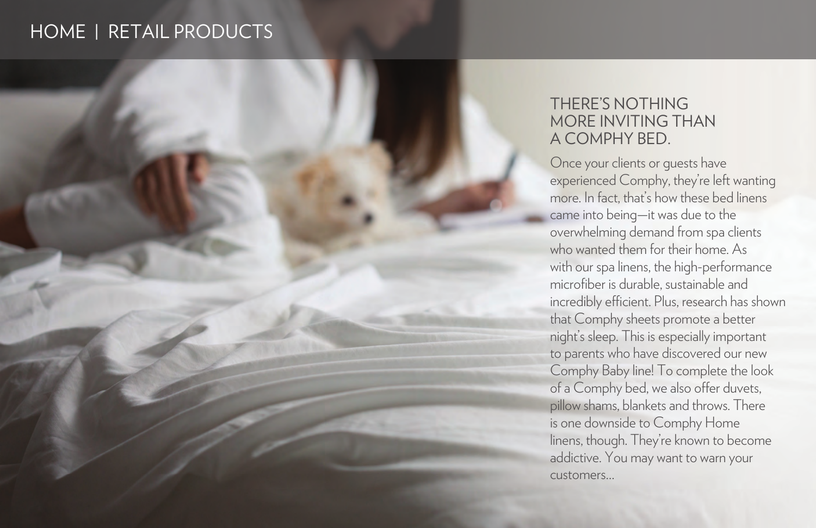

# THERE'S NOTHING MORE INVITING THAN<br>A COMPHY BED.

Once your clients or guests have experienced Comphy, they're left wanting more. In fact, that's how these bed linens came into being—it was due to the overwhelming demand from spa clients who wanted them for their home. As with our spa linens, the high-performance microfiber is durable, sustainable and incredibly efficient. Plus, research has shown that Comphy sheets promote a better night's sleep. This is especially important to parents who have discovered our new Comphy Baby line! To complete the look of a Comphy bed, we also offer duvets, pillow shams, blankets and throws. There is one downside to Comphy Home linens, though. They're known to become addictive. You may want to warn your customers…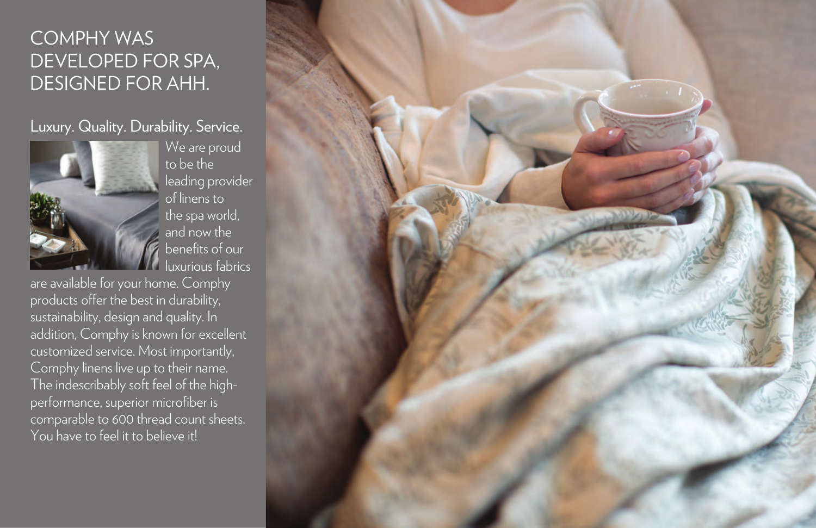### COMPHY WAS DEVELOPED FOR SPA, DESIGNED FOR AHH.

### Luxury. Quality. Durability. Service.



We are proud to be the leading provider of linens to the spa world, and now the benefits of our luxurious fabrics

are available for your home. Comphy products offer the best in durability, sustainability, design and quality. In addition, Comphy is known for excellent customized service. Most importantly, Comphy linens live up to their name. The indescribably soft feel of the highperformance, superior microfiber is comparable to 600 thread count sheets. You have to feel it to believe it!

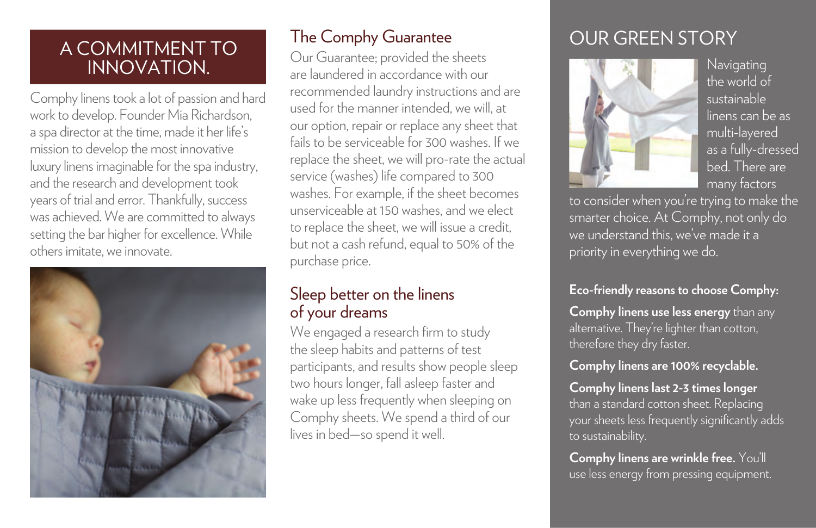### A COMMITMENT TO INNOVATION.

Comphy linens took a lot of passion and hard work to develop. Founder Mia Richardson, a spa director at the time, made it her life's mission to develop the most innovative luxury linens imaginable for the spa industry, and the research and development took years of trial and error. Thankfully, success was achieved. We are committed to always setting the bar higher for excellence. While others imitate, we innovate.



Our Guarantee; provided the sheets are laundered in accordance with our recommended laundry instructions and are used for the manner intended, we will, at our option, repair or replace any sheet that fails to be serviceable for 300 washes. If we replace the sheet, we will pro-rate the actual service (washes) life compared to 300 washes. For example, if the sheet becomes unserviceable at 150 washes, and we elect to replace the sheet, we will issue a credit, but not a cash refund, equal to 50% of the purchase price.

### Sleep better on the linens of your dreams

We engaged a research firm to study the sleep habits and patterns of test participants, and results show people sleep two hours longer, fall asleep faster and wake up less frequently when sleeping on Comphy sheets. We spend a third of our lives in bed—so spend it well.

## The Comphy Guarantee **COUR GREEN STORY**



Navigating the world of sustainable linens can be as multi-layered as a fully-dressed bed. There are many factors

to consider when you're trying to make the smarter choice. At Comphy, not only do we understand this, we've made it a priority in everything we do.

### **Eco-friendly reasons to choose Comphy:**

**Comphy linens use less energy** than any alternative. They're lighter than cotton, therefore they dry faster.

### **Comphy linens are 100% recyclable.**

**Comphy linens last 2-3 times longer**  than a standard cotton sheet. Replacing your sheets less frequently significantly adds to sustainability.

**Comphy linens are wrinkle free.** You'll use less energy from pressing equipment.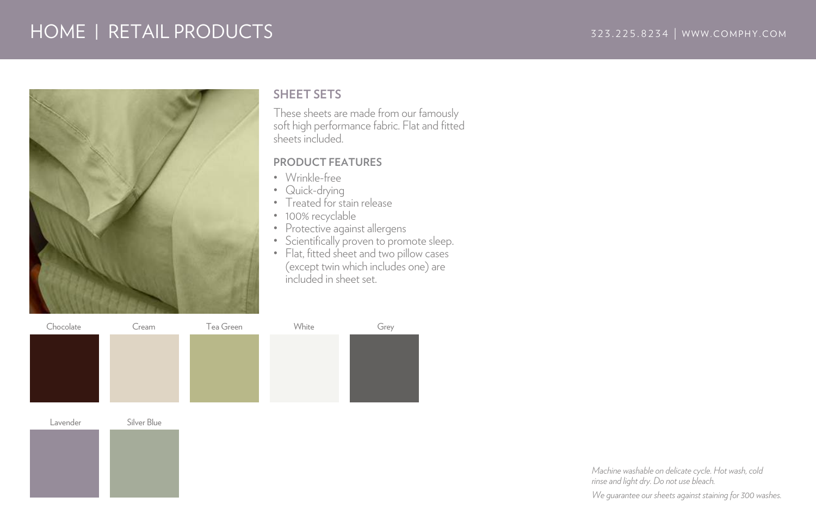

#### **SHEET SETS**

These sheets are made from our famously soft high performance fabric. Flat and fitted sheets included.

#### **PRODUCT FEATURES**

- Wrinkle-free
- Quick-drying
- Treated for stain release
- 100% recyclable
- Protective against allergens
- Scientifically proven to promote sleep.
- Flat, fitted sheet and two pillow cases (except twin which includes one) are included in sheet set.

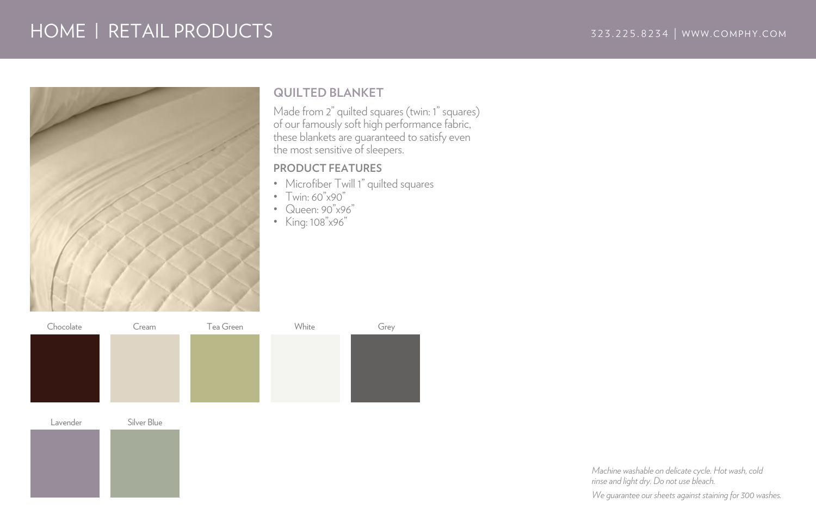

### **QUILTED BLANKET**

Made from 2" quilted squares (twin: 1" squares) of our famously soft high performance fabric, these blankets are guaranteed to satisfy even the most sensitive of sleepers.

#### **PRODUCT FEATURES**

- Microfiber Twill 1" quilted squares
- Twin: 60"x90"
- Queen: 90"x96"
- King: 108"x96"

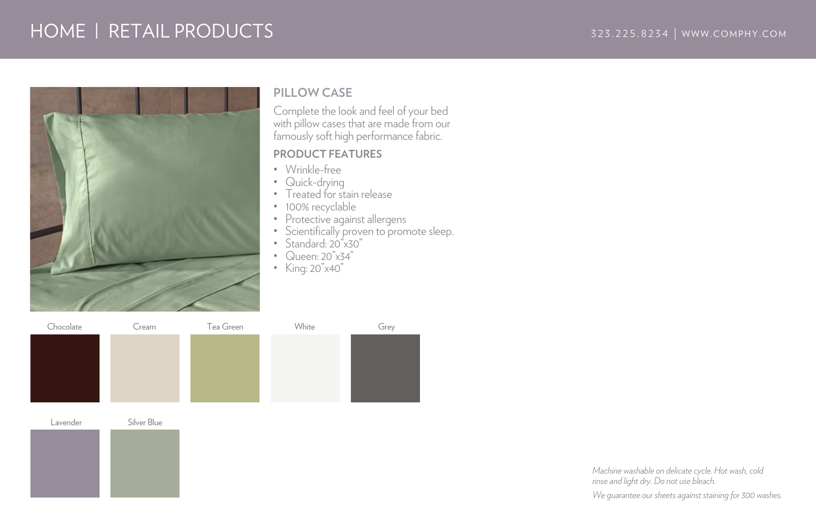

### **PILLOW CASE**

Complete the look and feel of your bed with pillow cases that are made from our famously soft high performance fabric.

#### **PRODUCT FEATURES**

- Wrinkle-free
- Quick-drying
- Treated for stain release
- 100% recyclable
- Protective against allergens
- Scientifically proven to promote sleep.
- Standard: 20"x30"
- Queen: 20"x34"
- King: 20"x40"

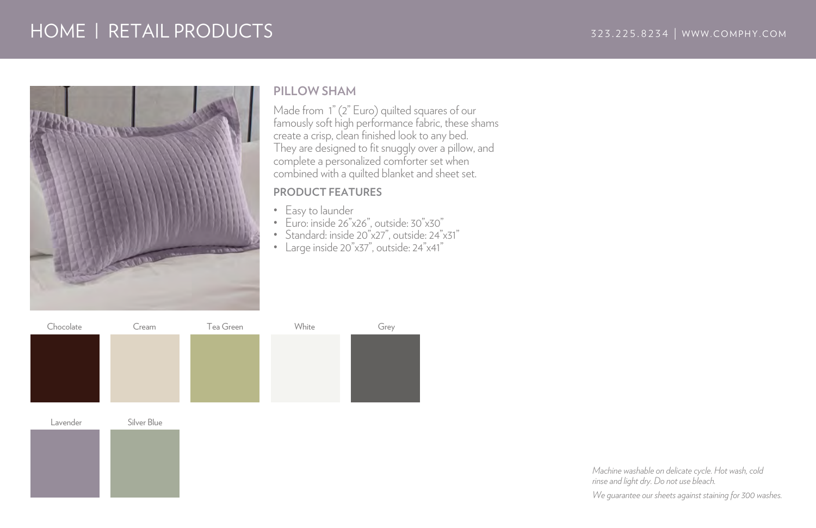

#### **PILLOW SHAM**

Made from 1" (2" Euro) quilted squares of our famously soft high performance fabric, these shams create a crisp, clean finished look to any bed. They are designed to fit snuggly over a pillow, and complete a personalized comforter set when combined with a quilted blanket and sheet set.

#### **PRODUCT FEATURES**

- Easy to launder
- Euro: inside 26"x26", outside: 30"x30"
- Standard: inside 20"x27", outside: 24"x31"
- Large inside 20"x37", outside: 24"x41"

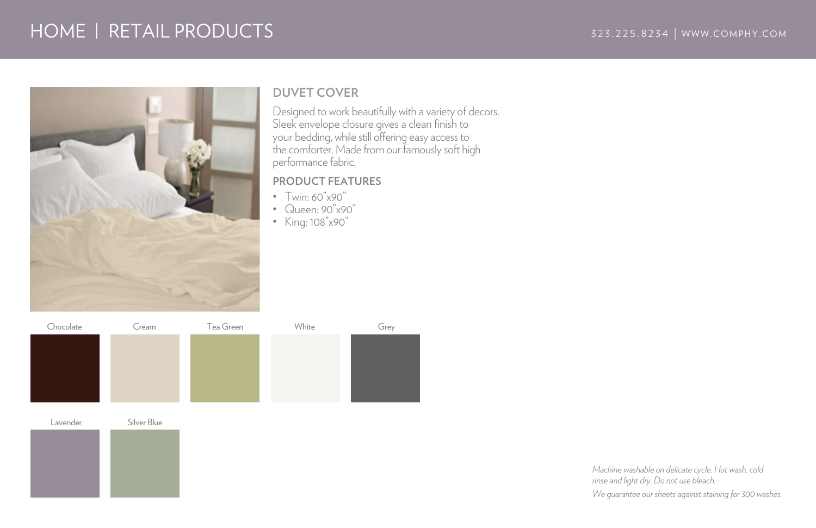

### **DUVET COVER**

Designed to work beautifully with a variety of decors. Sleek envelope closure gives a clean finish to your bedding, while still offering easy access to the comforter. Made from our famously soft high performance fabric.

#### **PRODUCT FEATURES**

- Twin: 60"x90"
- Queen: 90"x90"
- King: 108"x90"

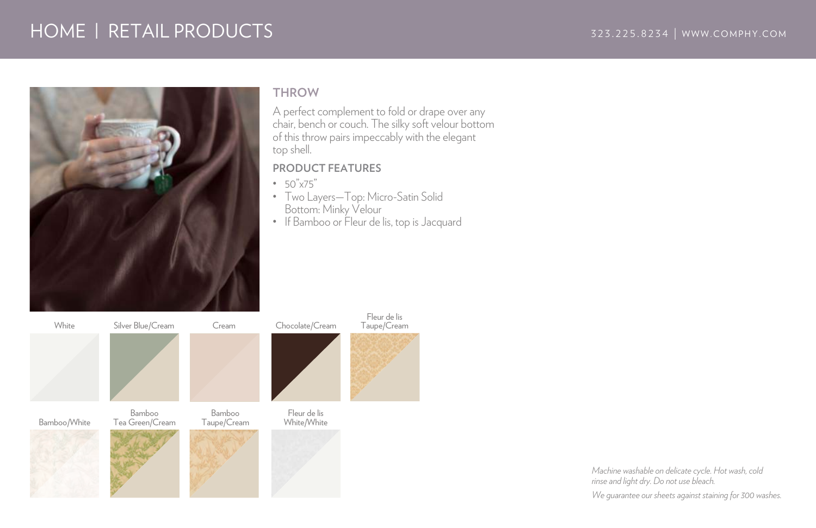

#### **THROW**

A perfect complement to fold or drape over any chair, bench or couch. The silky soft velour bottom of this throw pairs impeccably with the elegant top shell.

#### **PRODUCT FEATURES**

- 50"x75"
- Two Layers—Top: Micro-Satin Solid Bottom: Minky Velour
- If Bamboo or Fleur de lis, top is Jacquard

Fleur de lis Taupe/Cream

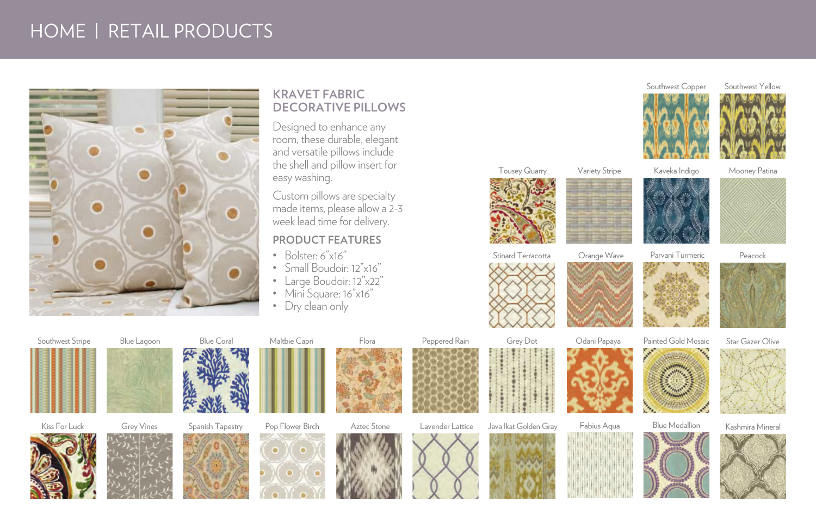

### **KRAVET FABRIC DECORATIVE PILLOWS**

Designed to enhance any room, these durable, elegant and versatile pillows include the shell and pillow insert for easy washing.

Custom pillows are specialty made items, please allow a 2-3 week lead time for delivery.

#### **PRODUCT FEATURES**

- Bolster: 6"x16"
- Small Boudoir: 12"x16"
- Large Boudoir: 12"x22"
- Mini Square: 16"x16"
- Dry clean only



Variety Stripe





Southwest Yellow

Stinard Terracotta







Southwest Copper













Kiss For Luck Grey Vines Spanish Tapestry











Peppered Rain

Java Ikat Golden Gray

Grey Dot







Kashmira Mineral







Blue Medallion





















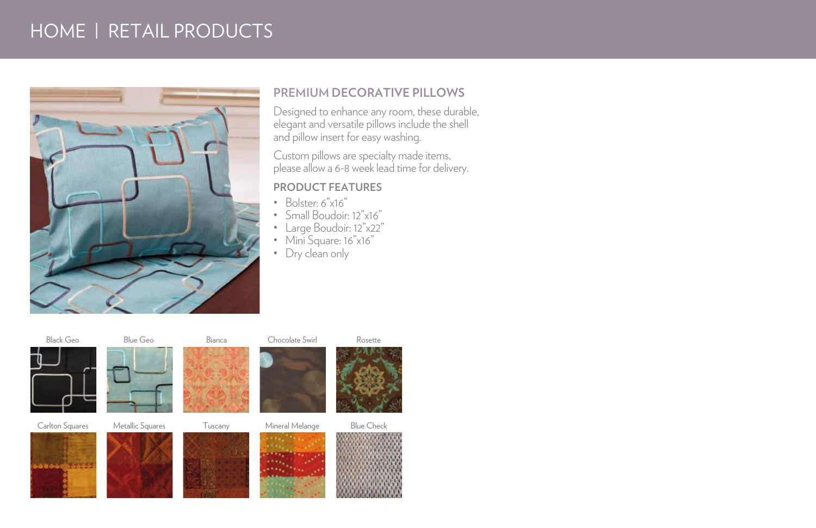

### **PREMIUM DECORATIVE PILLOWS**

Designed to enhance any room, these durable, elegant and versatile pillows include the shell and pillow insert for easy washing.

Custom pillows are specialty made items, please allow a 6-8 week lead time for delivery.

#### **PRODUCT FEATURES**

- Bolster: 6"x16"
- Small Boudoir: 12"x16"
- Large Boudoir: 12"x22"
- Mini Square: 16"x16"
- Dry clean only

Black Geo Blue Geo Bianca Chocolate Swirl Rosette

............











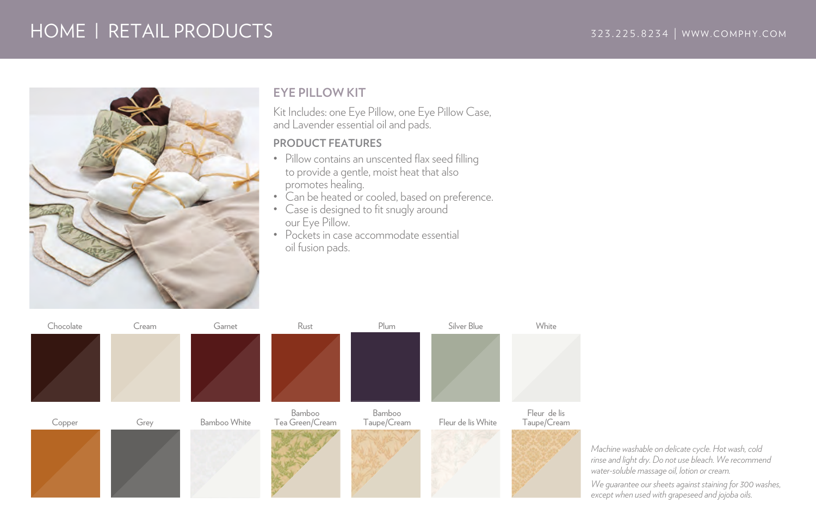### HOME | RETAIL PRODUCTS 323.225.8234 | WWW.COMPHY.COM



### **EYE PILLOW KIT**

Kit Includes: one Eye Pillow, one Eye Pillow Case, and Lavender essential oil and pads.

#### **PRODUCT FEATURES**

- Pillow contains an unscented flax seed filling to provide a gentle, moist heat that also promotes healing.
- Can be heated or cooled, based on preference.
- Case is designed to fit snugly around our Eye Pillow.
- Pockets in case accommodate essential oil fusion pads.



*Machine washable on delicate cycle. Hot wash, cold rinse and light dry. Do not use bleach. We recommend water-soluble massage oil, lotion or cream.*

*We guarantee our sheets against staining for 300 washes, except when used with grapeseed and jojoba oils.*